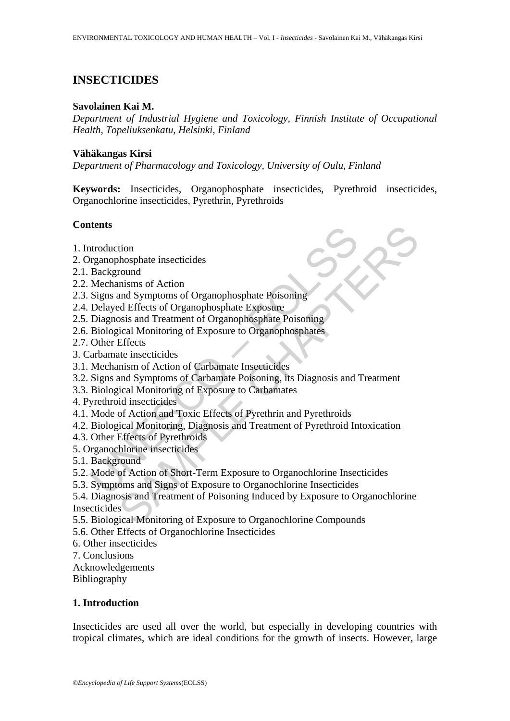# **INSECTICIDES**

#### **Savolainen Kai M.**

*Department of Industrial Hygiene and Toxicology, Finnish Institute of Occupational Health, Topeliuksenkatu, Helsinki, Finland* 

#### **Vähäkangas Kirsi**

*Department of Pharmacology and Toxicology, University of Oulu, Finland* 

**Keywords:** Insecticides, Organophosphate insecticides, Pyrethroid insecticides, Organochlorine insecticides, Pyrethrin, Pyrethroids

### **Contents**

- 1. Introduction
- 2. Organophosphate insecticides
- 2.1. Background
- 2.2. Mechanisms of Action
- 2.3. Signs and Symptoms of Organophosphate Poisoning
- 2.4. Delayed Effects of Organophosphate Exposure
- 2.5. Diagnosis and Treatment of Organophosphate Poisoning
- 2.6. Biological Monitoring of Exposure to Organophosphates
- 2.7. Other Effects
- 3. Carbamate insecticides
- 3.1. Mechanism of Action of Carbamate Insecticides
- 3.2. Signs and Symptoms of Carbamate Poisoning, its Diagnosis and Treatment
- 3.3. Biological Monitoring of Exposure to Carbamates
- 4. Pyrethroid insecticides
- 4.1. Mode of Action and Toxic Effects of Pyrethrin and Pyrethroids
- Internsity<br>
Introduction<br>
Transpohosphate insecticides<br>
Background<br>
Mechanisms of Action<br>
Signs and Symptoms of Organophosphate Poisoning<br>
Delayed Effects of Organophosphate Exposure<br>
Diagnosis and Treatment of Organophosp 4.2. Biological Monitoring, Diagnosis and Treatment of Pyrethroid Intoxication
- 4.3. Other Effects of Pyrethroids
- 5. Organochlorine insecticides
- 5.1. Background
- 5.2. Mode of Action of Short-Term Exposure to Organochlorine Insecticides
- 5.3. Symptoms and Signs of Exposure to Organochlorine Insecticides
- tion<br>
mondstare insecticides<br>
mondstares in secticides<br>
monds Symptoms of Organophosphate Poisoning<br>
and Treatment of Organophosphate Poisoning<br>
sosis and Treatment of Organophosphate Poisoning<br>
ficial Monitoring of Exposu 5.4. Diagnosis and Treatment of Poisoning Induced by Exposure to Organochlorine **Insecticides**
- 5.5. Biological Monitoring of Exposure to Organochlorine Compounds
- 5.6. Other Effects of Organochlorine Insecticides
- 6. Other insecticides
- 7. Conclusions

Acknowledgements

Bibliography

### **1. Introduction**

Insecticides are used all over the world, but especially in developing countries with tropical climates, which are ideal conditions for the growth of insects. However, large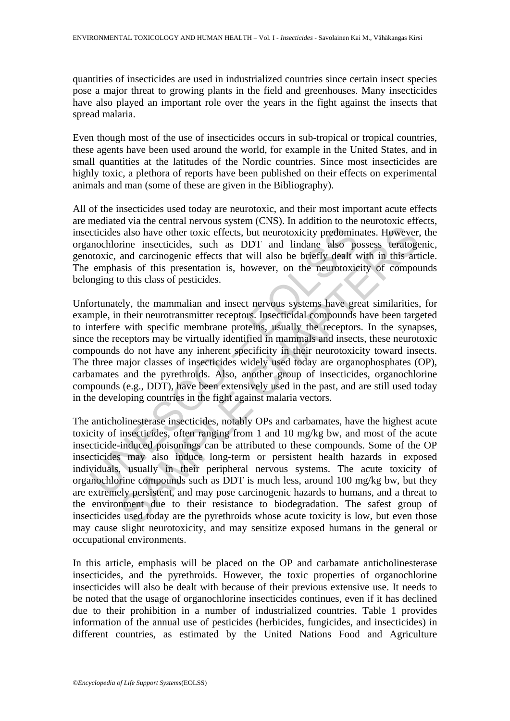quantities of insecticides are used in industrialized countries since certain insect species pose a major threat to growing plants in the field and greenhouses. Many insecticides have also played an important role over the years in the fight against the insects that spread malaria.

Even though most of the use of insecticides occurs in sub-tropical or tropical countries, these agents have been used around the world, for example in the United States, and in small quantities at the latitudes of the Nordic countries. Since most insecticides are highly toxic, a plethora of reports have been published on their effects on experimental animals and man (some of these are given in the Bibliography).

All of the insecticides used today are neurotoxic, and their most important acute effects are mediated via the central nervous system (CNS). In addition to the neurotoxic effects, insecticides also have other toxic effects, but neurotoxicity predominates. However, the organochlorine insecticides, such as DDT and lindane also possess teratogenic, genotoxic, and carcinogenic effects that will also be briefly dealt with in this article. The emphasis of this presentation is, however, on the neurotoxicity of compounds belonging to this class of pesticides.

cticides also have other toxic effects, but neurotoxicity predomin<br>mochlorine insecticides, such as DDT and lindane also pe<br>otoxic, and carcinogenic effects that will also be briefly dealt v<br>emphasis of this presentation i Unfortunately, the mammalian and insect nervous systems have great similarities, for example, in their neurotransmitter receptors. Insecticidal compounds have been targeted to interfere with specific membrane proteins, usually the receptors. In the synapses, since the receptors may be virtually identified in mammals and insects, these neurotoxic compounds do not have any inherent specificity in their neurotoxicity toward insects. The three major classes of insecticides widely used today are organophosphates (OP), carbamates and the pyrethroids. Also, another group of insecticides, organochlorine compounds (e.g., DDT), have been extensively used in the past, and are still used today in the developing countries in the fight against malaria vectors.

s also have other toxic effects, but neurotoxicity predominates. However<br>rime insecticides, such as DDT and lindane also possess teratoge<br>and carcinogenic effects that will also be briefly dealt with in this art<br>and carcin The anticholinesterase insecticides, notably OPs and carbamates, have the highest acute toxicity of insecticides, often ranging from 1 and 10 mg/kg bw, and most of the acute insecticide-induced poisonings can be attributed to these compounds. Some of the OP insecticides may also induce long-term or persistent health hazards in exposed individuals, usually in their peripheral nervous systems. The acute toxicity of organochlorine compounds such as DDT is much less, around 100 mg/kg bw, but they are extremely persistent, and may pose carcinogenic hazards to humans, and a threat to the environment due to their resistance to biodegradation. The safest group of insecticides used today are the pyrethroids whose acute toxicity is low, but even those may cause slight neurotoxicity, and may sensitize exposed humans in the general or occupational environments.

In this article, emphasis will be placed on the OP and carbamate anticholinesterase insecticides, and the pyrethroids. However, the toxic properties of organochlorine insecticides will also be dealt with because of their previous extensive use. It needs to be noted that the usage of organochlorine insecticides continues, even if it has declined due to their prohibition in a number of industrialized countries. Table 1 provides information of the annual use of pesticides (herbicides, fungicides, and insecticides) in different countries, as estimated by the United Nations Food and Agriculture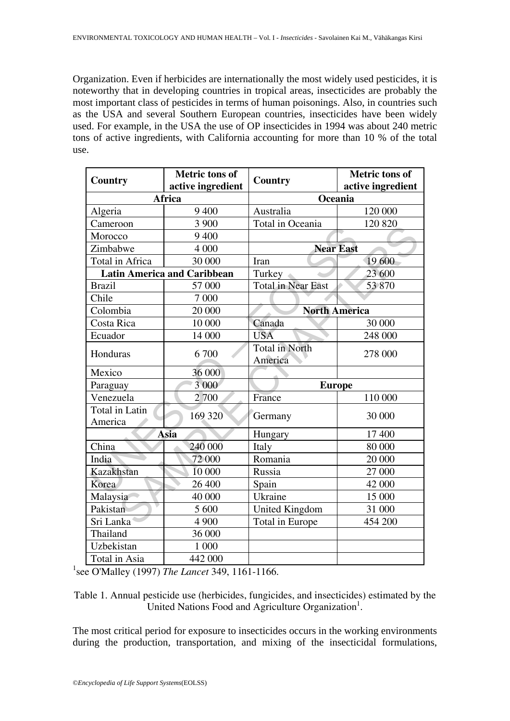Organization. Even if herbicides are internationally the most widely used pesticides, it is noteworthy that in developing countries in tropical areas, insecticides are probably the most important class of pesticides in terms of human poisonings. Also, in countries such as the USA and several Southern European countries, insecticides have been widely used. For example, in the USA the use of OP insecticides in 1994 was about 240 metric tons of active ingredients, with California accounting for more than 10 % of the total use.

| <b>Country</b>                     | <b>Metric</b> tons of<br>active ingredient | Country                          | <b>Metric tons of</b><br>active ingredient |
|------------------------------------|--------------------------------------------|----------------------------------|--------------------------------------------|
| Africa                             |                                            | Oceania                          |                                            |
| Algeria                            | 9 400                                      | Australia                        | 120 000                                    |
| Cameroon                           | 3 900                                      | Total in Oceania                 | 120 820                                    |
| Morocco                            | 9 400                                      |                                  |                                            |
| Zimbabwe                           | 4 000                                      | <b>Near East</b>                 |                                            |
| Total in Africa                    | 30 000                                     | Iran                             | 19 600                                     |
| <b>Latin America and Caribbean</b> |                                            | Turkey                           | 23 600                                     |
| <b>Brazil</b>                      | 57 000                                     | <b>Total in Near East</b>        | 53870                                      |
| Chile                              | 7 000                                      |                                  |                                            |
| Colombia                           | 20 000                                     | <b>North America</b>             |                                            |
| Costa Rica                         | 10 000                                     | Canada                           | 30 000                                     |
| Ecuador                            | 14 000                                     | <b>USA</b>                       | 248 000                                    |
| Honduras                           | 6700                                       | <b>Total in North</b><br>America | 278 000                                    |
| Mexico                             | 36 000                                     |                                  |                                            |
| Paraguay                           | 3 000                                      | <b>Europe</b>                    |                                            |
| Venezuela                          | 2700                                       | France                           | 110 000                                    |
| Total in Latin<br>America          | 169 320                                    | Germany                          | 30 000                                     |
| Asia                               |                                            | Hungary                          | 17 400                                     |
| China                              | 240 000                                    | Italy                            | 80 000                                     |
| India                              | 72 000                                     | Romania                          | 20 000                                     |
| Kazakhstan                         | 10 000                                     | Russia                           | 27 000                                     |
| Korea                              | 26 400                                     | Spain                            | 42 000                                     |
| Malaysia                           | 40 000                                     | Ukraine                          | 15 000                                     |
| Pakistan                           | 5 600                                      | <b>United Kingdom</b>            | 31 000                                     |
| Sri Lanka                          | 4 900                                      | Total in Europe                  | 454 200                                    |
| Thailand                           | 36 000                                     |                                  |                                            |
| Uzbekistan                         | 1 000                                      |                                  |                                            |
| Total in Asia                      | 442 000                                    |                                  |                                            |

1 see O'Malley (1997) *The Lancet* 349, 1161-1166.

Table 1. Annual pesticide use (herbicides, fungicides, and insecticides) estimated by the United Nations Food and Agriculture Organization<sup>1</sup>.

The most critical period for exposure to insecticides occurs in the working environments during the production, transportation, and mixing of the insecticidal formulations,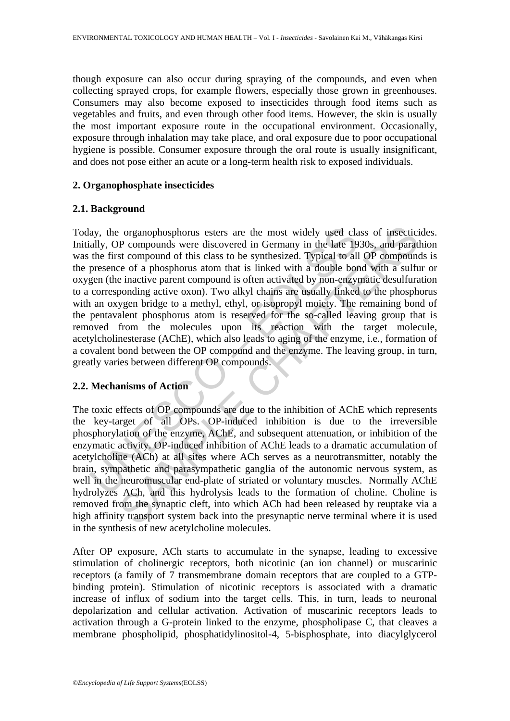though exposure can also occur during spraying of the compounds, and even when collecting sprayed crops, for example flowers, especially those grown in greenhouses. Consumers may also become exposed to insecticides through food items such as vegetables and fruits, and even through other food items. However, the skin is usually the most important exposure route in the occupational environment. Occasionally, exposure through inhalation may take place, and oral exposure due to poor occupational hygiene is possible. Consumer exposure through the oral route is usually insignificant, and does not pose either an acute or a long-term health risk to exposed individuals.

### **2. Organophosphate insecticides**

### **2.1. Background**

ay, the organophosphorus esters are the most widely used clastly, OP compounds were discovered in Germany in the late 19 the first compound of this class to be synthesized. Typical to all presence of a phosphorus atom that corresponds of this class to the most widely used class of insecticity compounds were discovered in Germany in the late 1930s, and parattic corresponds of this class to be synthesized. Typical to all OP compounds the ce of Today, the organophosphorus esters are the most widely used class of insecticides. Initially, OP compounds were discovered in Germany in the late 1930s, and parathion was the first compound of this class to be synthesized. Typical to all OP compounds is the presence of a phosphorus atom that is linked with a double bond with a sulfur or oxygen (the inactive parent compound is often activated by non-enzymatic desulfuration to a corresponding active oxon). Two alkyl chains are usually linked to the phosphorus with an oxygen bridge to a methyl, ethyl, or isopropyl moiety. The remaining bond of the pentavalent phosphorus atom is reserved for the so-called leaving group that is removed from the molecules upon its reaction with the target molecule, acetylcholinesterase (AChE), which also leads to aging of the enzyme, i.e., formation of a covalent bond between the OP compound and the enzyme. The leaving group, in turn, greatly varies between different OP compounds.

### **2.2. Mechanisms of Action**

The toxic effects of OP compounds are due to the inhibition of AChE which represents the key-target of all OPs. OP-induced inhibition is due to the irreversible phosphorylation of the enzyme, AChE, and subsequent attenuation, or inhibition of the enzymatic activity. OP-induced inhibition of AChE leads to a dramatic accumulation of acetylcholine (ACh) at all sites where ACh serves as a neurotransmitter, notably the brain, sympathetic and parasympathetic ganglia of the autonomic nervous system, as well in the neuromuscular end-plate of striated or voluntary muscles. Normally AChE hydrolyzes ACh, and this hydrolysis leads to the formation of choline. Choline is removed from the synaptic cleft, into which ACh had been released by reuptake via a high affinity transport system back into the presynaptic nerve terminal where it is used in the synthesis of new acetylcholine molecules.

After OP exposure, ACh starts to accumulate in the synapse, leading to excessive stimulation of cholinergic receptors, both nicotinic (an ion channel) or muscarinic receptors (a family of 7 transmembrane domain receptors that are coupled to a GTPbinding protein). Stimulation of nicotinic receptors is associated with a dramatic increase of influx of sodium into the target cells. This, in turn, leads to neuronal depolarization and cellular activation. Activation of muscarinic receptors leads to activation through a G-protein linked to the enzyme, phospholipase C, that cleaves a membrane phospholipid, phosphatidylinositol-4, 5-bisphosphate, into diacylglycerol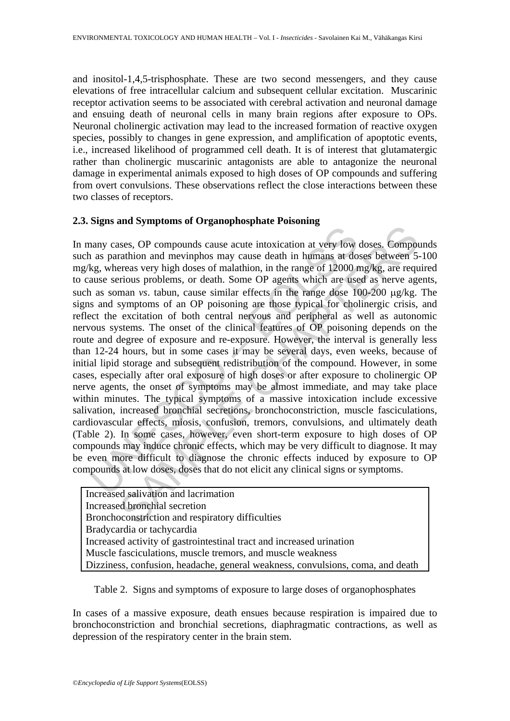and inositol-1,4,5-trisphosphate. These are two second messengers, and they cause elevations of free intracellular calcium and subsequent cellular excitation. Muscarinic receptor activation seems to be associated with cerebral activation and neuronal damage and ensuing death of neuronal cells in many brain regions after exposure to OPs. Neuronal cholinergic activation may lead to the increased formation of reactive oxygen species, possibly to changes in gene expression, and amplification of apoptotic events, i.e., increased likelihood of programmed cell death. It is of interest that glutamatergic rather than cholinergic muscarinic antagonists are able to antagonize the neuronal damage in experimental animals exposed to high doses of OP compounds and suffering from overt convulsions. These observations reflect the close interactions between these two classes of receptors.

## **2.3. Signs and Symptoms of Organophosphate Poisoning**

For the range of mathematic intention and periphene and space and space and space and space and space are are as segment as soman vs. tabun, cause similar effects in the range of 12000 r as soman vs. tabun, cause similar e and sympaths are expanded paralleleation at very low doses. Componentation and mevaluation and exist deviation and means at doses between 5 retains on mevaluation, in the range of 12000 mg/kg, are requirious problems, or d In many cases, OP compounds cause acute intoxication at very low doses. Compounds such as parathion and mevinphos may cause death in humans at doses between 5-100 mg/kg, whereas very high doses of malathion, in the range of 12000 mg/kg, are required to cause serious problems, or death. Some OP agents which are used as nerve agents, such as soman *vs*. tabun, cause similar effects in the range dose 100-200 μg/kg. The signs and symptoms of an OP poisoning are those typical for cholinergic crisis, and reflect the excitation of both central nervous and peripheral as well as autonomic nervous systems. The onset of the clinical features of OP poisoning depends on the route and degree of exposure and re-exposure. However, the interval is generally less than 12-24 hours, but in some cases it may be several days, even weeks, because of initial lipid storage and subsequent redistribution of the compound. However, in some cases, especially after oral exposure of high doses or after exposure to cholinergic OP nerve agents, the onset of symptoms may be almost immediate, and may take place within minutes. The typical symptoms of a massive intoxication include excessive salivation, increased bronchial secretions, bronchoconstriction, muscle fasciculations, cardiovascular effects, miosis, confusion, tremors, convulsions, and ultimately death (Table 2). In some cases, however, even short-term exposure to high doses of OP compounds may induce chronic effects, which may be very difficult to diagnose. It may be even more difficult to diagnose the chronic effects induced by exposure to OP compounds at low doses, doses that do not elicit any clinical signs or symptoms.

| Increased salivation and lacrimation                                           |  |  |  |
|--------------------------------------------------------------------------------|--|--|--|
| Increased bronchial secretion                                                  |  |  |  |
| Bronchoconstriction and respiratory difficulties                               |  |  |  |
| Bradycardia or tachycardia                                                     |  |  |  |
| Increased activity of gastrointestinal tract and increased urination           |  |  |  |
| Muscle fasciculations, muscle tremors, and muscle weakness                     |  |  |  |
| Dizziness, confusion, headache, general weakness, convulsions, coma, and death |  |  |  |

Table 2.Signs and symptoms of exposure to large doses of organophosphates

In cases of a massive exposure, death ensues because respiration is impaired due to bronchoconstriction and bronchial secretions, diaphragmatic contractions, as well as depression of the respiratory center in the brain stem.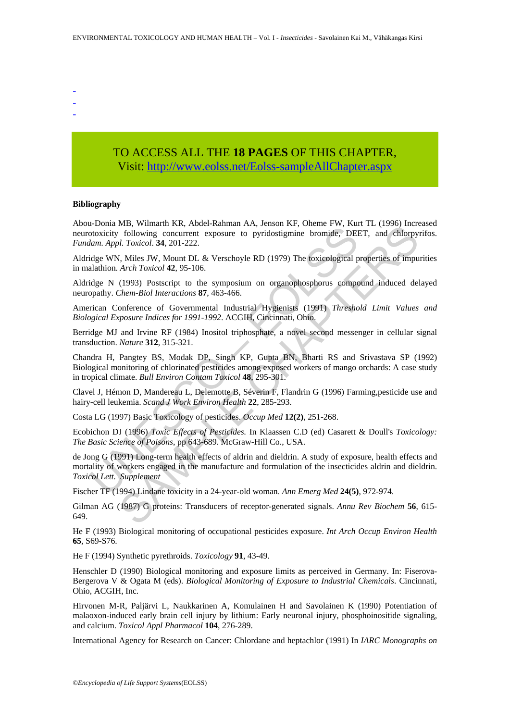- -
- -
- TO ACCESS ALL THE **18 PAGES** OF THIS CHAPTER, Visit[: http://www.eolss.net/Eolss-sampleAllChapter.aspx](https://www.eolss.net/ebooklib/sc_cart.aspx?File=E4-12-03-01)

**Bibliography** 

Abou-Donia MB, Wilmarth KR, Abdel-Rahman AA, Jenson KF, Oheme FW, Kurt TL (1996) Increased neurotoxicity following concurrent exposure to pyridostigmine bromide, DEET, and chlorpyrifos. *Fundam. Appl. Toxicol*. **34**, 201-222.

Aldridge WN, Miles JW, Mount DL & Verschoyle RD (1979) The toxicological properties of impurities in malathion. *Arch Toxicol* **42**, 95-106.

Aldridge N (1993) Postscript to the symposium on organophosphorus compound induced delayed neuropathy. *Chem-Biol Interactions* **87**, 463-466.

American Conference of Governmental Industrial Hygienists (1991) *Threshold Limit Values and Biological Exposure Indices for 1991-1992*. ACGIH, Cincinnati, Ohio.

Berridge MJ and Irvine RF (1984) Inositol triphosphate, a novel second messenger in cellular signal transduction. *Nature* **312**, 315-321.

Chandra H, Pangtey BS, Modak DP, Singh KP, Gupta BN, Bharti RS and Srivastava SP (1992) Biological monitoring of chlorinated pesticides among exposed workers of mango orchards: A case study in tropical climate. *Bull Environ Contam Toxicol* **48**, 295-301.

Clavel J, Hémon D, Mandereau L, Delemotte B, Séverin F, Flandrin G (1996) Farming,pesticide use and hairy-cell leukemia. *Scand J Work Environ Health* **22**, 285-293.

Costa LG (1997) Basic Toxicology of pesticides. *Occup Med* **12(2)**, 251-268.

Ecobichon DJ (1996) *Toxic Effects of Pesticides.* In Klaassen C.D (ed) Casarett & Doull's *Toxicology: The Basic Science of Poisons*, pp 643-689. McGraw-Hill Co., USA.

**From MD, Winnard KR, Note-Kendman FAR, stassor IST, Chellier (FRI), Realist Angle Control obsolving concurrent exposure to pyridostigmine bromide, DEB** *lam. Appl. Toxicol.* **34, 201-222.<br>Idge WN, Miles JW, Mount DL & Versc** EVA., William KR, Note-Kaminal AA, Jenson KR, Unelle Pw, Katri (1990) intelled and AR, About DLI, IC (1990) intelled and AR) (Individual Chapter Architect Architect Architect Architect Architect Architect Architect Archit de Jong G (1991) Long-term health effects of aldrin and dieldrin. A study of exposure, health effects and mortality of workers engaged in the manufacture and formulation of the insecticides aldrin and dieldrin. *Toxicol Lett. Supplement*

Fischer TF (1994) Lindane toxicity in a 24-year-old woman. *Ann Emerg Med* **24(5)**, 972-974.

Gilman AG (1987) G proteins: Transducers of receptor-generated signals. *Annu Rev Biochem* **56**, 615- 649.

He F (1993) Biological monitoring of occupational pesticides exposure. *Int Arch Occup Environ Health* **65**, S69-S76.

He F (1994) Synthetic pyrethroids. *Toxicology* **91**, 43-49.

Henschler D (1990) Biological monitoring and exposure limits as perceived in Germany. In: Fiserova-Bergerova V & Ogata M (eds). *Biological Monitoring of Exposure to Industrial Chemicals*. Cincinnati, Ohio, ACGIH, Inc.

Hirvonen M-R, Paljärvi L, Naukkarinen A, Komulainen H and Savolainen K (1990) Potentiation of malaoxon-induced early brain cell injury by lithium: Early neuronal injury, phosphoinositide signaling, and calcium. *Toxicol Appl Pharmacol* **104**, 276-289.

International Agency for Research on Cancer: Chlordane and heptachlor (1991) In *IARC Monographs on*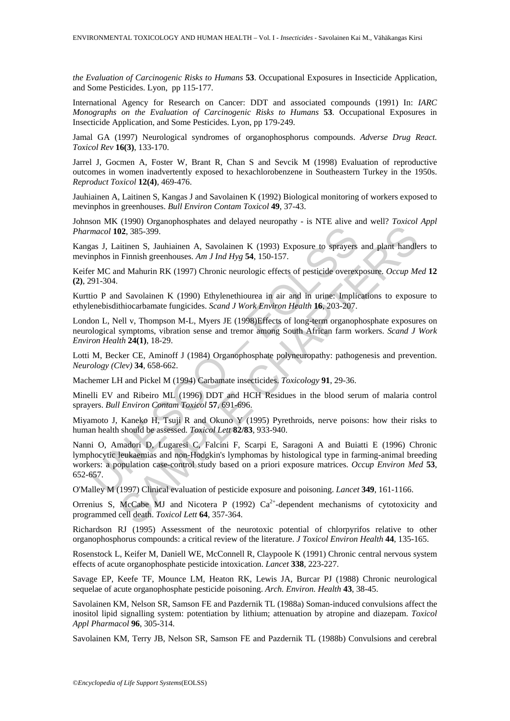*the Evaluation of Carcinogenic Risks to Humans* **53**. Occupational Exposures in Insecticide Application, and Some Pesticides. Lyon, pp 115-177.

International Agency for Research on Cancer: DDT and associated compounds (1991) In: *IARC Monographs on the Evaluation of Carcinogenic Risks to Humans* **53**. Occupational Exposures in Insecticide Application, and Some Pesticides. Lyon, pp 179-249.

Jamal GA (1997) Neurological syndromes of organophosphorus compounds. *Adverse Drug React. Toxicol Rev* **16(3)**, 133-170.

Jarrel J, Gocmen A, Foster W, Brant R, Chan S and Sevcik M (1998) Evaluation of reproductive outcomes in women inadvertently exposed to hexachlorobenzene in Southeastern Turkey in the 1950s. *Reproduct Toxicol* **12(4)**, 469-476.

Jauhiainen A, Laitinen S, Kangas J and Savolainen K (1992) Biological monitoring of workers exposed to mevinphos in greenhouses. *Bull Environ Contam Toxicol* **49**, 37-43.

Johnson MK (1990) Organophosphates and delayed neuropathy - is NTE alive and well? *Toxicol Appl Pharmacol* **102**, 385-399.

Kangas J, Laitinen S, Jauhiainen A, Savolainen K (1993) Exposure to sprayers and plant handlers to mevinphos in Finnish greenhouses. *Am J Ind Hyg* **54**, 150-157.

Keifer MC and Mahurin RK (1997) Chronic neurologic effects of pesticide overexposure. *Occup Med* **12 (2)**, 291-304.

Kurttio P and Savolainen K (1990) Ethylenethiourea in air and in urine: Implications to exposure to ethylenebisdithiocarbamate fungicides. *Scand J Work Environ Health* **16**, 203-207.

London L, Nell v, Thompson M-L, Myers JE (1998)Effects of long-term organophosphate exposures on neurological symptoms, vibration sense and tremor among South African farm workers. *Scand J Work Environ Health* **24(1)**, 18-29.

Lotti M, Becker CE, Aminoff J (1984) Organophosphate polyneuropathy: pathogenesis and prevention. *Neurology (Clev)* **34**, 658-662.

Machemer LH and Pickel M (1994) Carbamate insecticides. *Toxicology* **91**, 29-36.

Minelli EV and Ribeiro ML (1996) DDT and HCH Residues in the blood serum of malaria control sprayers. *Bull Environ Contam Toxicol* **57**, 691-696.

Miyamoto J, Kaneko H, Tsuji R and Okuno Y (1995) Pyrethroids, nerve poisons: how their risks to human health should be assessed. *Toxicol Lett* **82/83**, 933-940.

*macol* **102**, 385-399.<br>
gas J, Laitinen S, Jauhiainen A, Savolainen K (1993) Exposure to sprayers<br>
nphos in Finnish greenhouses. Am J Ind Hyg 54, 150-157.<br>
For MC and Mahurin RK (1997) Chronic neurologic effects of pesti 10.385-399.<br>
22, 385-399.<br>
22, 385-399.<br>
22, 385-399.<br>
22, 385-399.<br>

22, 385-399.<br>

22, 385-399.<br>

22, 285-399.<br>

22, 285-399.<br>

22, 285-399.<br>

22, 284. I fol Hyg **54**, 150-157.<br>

22, 285-399.<br> Nanni O, Amadori D, Lugaresi C, Falcini F, Scarpi E, Saragoni A and Buiatti E (1996) Chronic lymphocytic leukaemias and non-Hodgkin's lymphomas by histological type in farming-animal breeding workers: a population case-control study based on a priori exposure matrices. *Occup Environ Med* **53**, 652-657.

O'Malley M (1997) Clinical evaluation of pesticide exposure and poisoning. *Lancet* **349**, 161-1166.

Orrenius S, McCabe MJ and Nicotera P (1992)  $Ca^{2+}$ -dependent mechanisms of cytotoxicity and programmed cell death. *Toxicol Lett* **64**, 357-364.

Richardson RJ (1995) Assessment of the neurotoxic potential of chlorpyrifos relative to other organophosphorus compounds: a critical review of the literature. *J Toxicol Environ Health* **44**, 135-165.

Rosenstock L, Keifer M, Daniell WE, McConnell R, Claypoole K (1991) Chronic central nervous system effects of acute organophosphate pesticide intoxication. *Lancet* **338**, 223-227.

Savage EP, Keefe TF, Mounce LM, Heaton RK, Lewis JA, Burcar PJ (1988) Chronic neurological sequelae of acute organophosphate pesticide poisoning. *Arch. Environ. Health* **43**, 38-45.

Savolainen KM, Nelson SR, Samson FE and Pazdernik TL (1988a) Soman-induced convulsions affect the inositol lipid signalling system: potentiation by lithium; attenuation by atropine and diazepam. *Toxicol Appl Pharmacol* **96**, 305-314.

Savolainen KM, Terry JB, Nelson SR, Samson FE and Pazdernik TL (1988b) Convulsions and cerebral